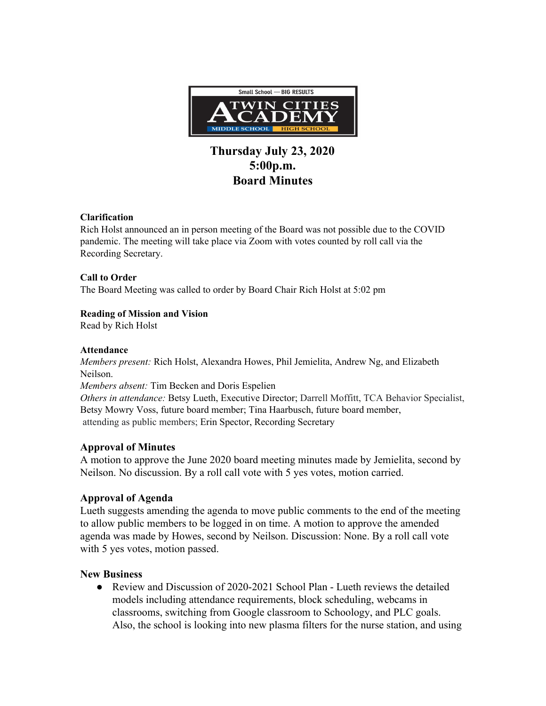

# **Thursday July 23, 2020 5:00p.m. Board Minutes**

#### **Clarification**

Rich Holst announced an in person meeting of the Board was not possible due to the COVID pandemic. The meeting will take place via Zoom with votes counted by roll call via the Recording Secretary.

## **Call to Order**

The Board Meeting was called to order by Board Chair Rich Holst at 5:02 pm

## **Reading of Mission and Vision**

Read by Rich Holst

#### **Attendance**

*Members present:* Rich Holst, Alexandra Howes, Phil Jemielita, Andrew Ng, and Elizabeth Neilson.

*Members absent:* Tim Becken and Doris Espelien

*Others in attendance:* Betsy Lueth, Executive Director; Darrell Moffitt, TCA Behavior Specialist, Betsy Mowry Voss, future board member; Tina Haarbusch, future board member, attending as public members; Erin Spector, Recording Secretary

# **Approval of Minutes**

A motion to approve the June 2020 board meeting minutes made by Jemielita, second by Neilson. No discussion. By a roll call vote with 5 yes votes, motion carried.

# **Approval of Agenda**

Lueth suggests amending the agenda to move public comments to the end of the meeting to allow public members to be logged in on time. A motion to approve the amended agenda was made by Howes, second by Neilson. Discussion: None. By a roll call vote with 5 yes votes, motion passed.

#### **New Business**

• Review and Discussion of 2020-2021 School Plan - Lueth reviews the detailed models including attendance requirements, block scheduling, webcams in classrooms, switching from Google classroom to Schoology, and PLC goals. Also, the school is looking into new plasma filters for the nurse station, and using